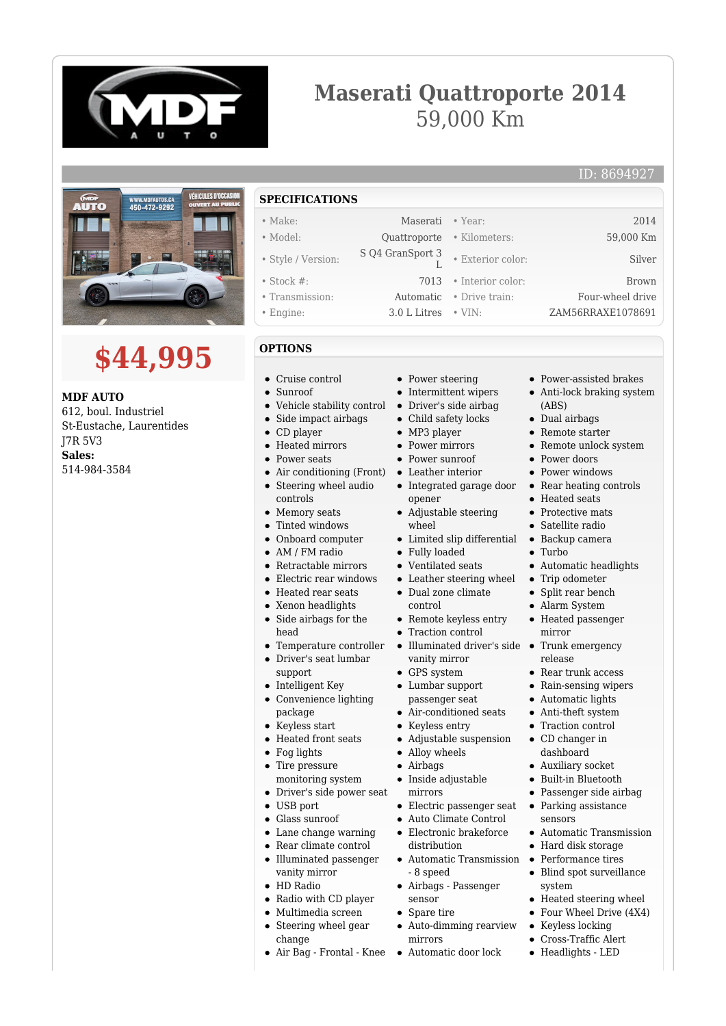

# **Maserati Quattroporte 2014** 59,000 Km



# **\$44,995**

**MDF AUTO** 612, boul. Industriel St-Eustache, Laurentides J7R 5V3 **Sales:** 514-984-3584

# **SPECIFICATIONS**

- Make: Maserati Year: 2014 • Model: Quattroporte • Kilometers: 59,000 Km
- Style / Version: S Q4 GranSport 3
- Stock #: 7013 Interior color: Brown
- Transmission: Automatic Drive train: Four-wheel drive
- Engine: 3.0 L Litres VIN: ZAM56RRAXE1078691

## **OPTIONS**

- Cruise control
- Sunroof
- Vehicle stability control  $\bullet$
- Side impact airbags  $\bullet$
- CD player  $\bullet$
- Heated mirrors  $\bullet$
- $\bullet$ Power seats
- Air conditioning (Front)  $\bullet$ Steering wheel audio  $\bullet$
- controls
- Memory seats
- $\blacksquare$ Tinted windows
- Onboard computer  $\bullet$
- AM / FM radio
- Retractable mirrors
- Electric rear windows  $\bullet$
- Heated rear seats
- Xenon headlights
- $\bullet$ Side airbags for the head
- Temperature controller
- Driver's seat lumbar  $\blacksquare$
- support
- Intelligent Key  $\bullet$
- Convenience lighting package
- Keyless start
- Heated front seats
- Fog lights
- Tire pressure  $\bullet$
- monitoring system
- Driver's side power seat
- USB port
- $\bullet$ Glass sunroof
- Lane change warning
- Rear climate control  $\bullet$
- $\bullet$ Illuminated passenger vanity mirror
- HD Radio
- Radio with CD player
	- Multimedia screen
	- Steering wheel gear change
	- Air Bag Frontal Knee Automatic door lock

• Power steering

 $\mathbb{I}$ 

- Intermittent wipers
- Driver's side airbag
- Child safety locks  $\bullet$
- MP3 player
- Power mirrors
- Power sunroof
- Leather interior  $\bullet$
- Integrated garage door opener
- Adjustable steering wheel
- Limited slip differential
- Fully loaded
- Ventilated seats
- Leather steering wheel
- Dual zone climate
- control
- Remote keyless entry
- Traction control
- $\bullet$  Illuminated driver's side  $\bullet$ vanity mirror
- GPS system
- Lumbar support passenger seat
- Air-conditioned seats
- Keyless entry
- Adjustable suspension
- Alloy wheels
- Airbags  $\bullet$
- $\bullet$ Inside adjustable
- mirrors
- Electric passenger seat
- Auto Climate Control
- Electronic brakeforce distribution
- Automatic Transmission - 8 speed
- Airbags Passenger sensor
- Spare tire
- Auto-dimming rearview mirrors
- 
- Power-assisted brakes
- Anti-lock braking system (ABS)

ID: 8694927

Dual airbags

• Exterior color: Silver

- Remote starter
- Remote unlock system  $\bullet$
- Power doors
- Power windows
- Rear heating controls
- Heated seats
- Protective mats
- Satellite radio
- Backup camera • Turbo

• Trip odometer • Split rear bench Alarm System Heated passenger

Trunk emergency

Rear trunk access Rain-sensing wipers • Automatic lights Anti-theft system • Traction control CD changer in dashboard Auxiliary socket Built-in Bluetooth Passenger side airbag • Parking assistance sensors

Automatic Transmission • Hard disk storage • Performance tires Blind spot surveillance

• Heated steering wheel Four Wheel Drive (4X4) Keyless locking Cross-Traffic Alert Headlights - LED

system

 $\bullet$ 

 $\bullet$ 

Automatic headlights

mirror

release